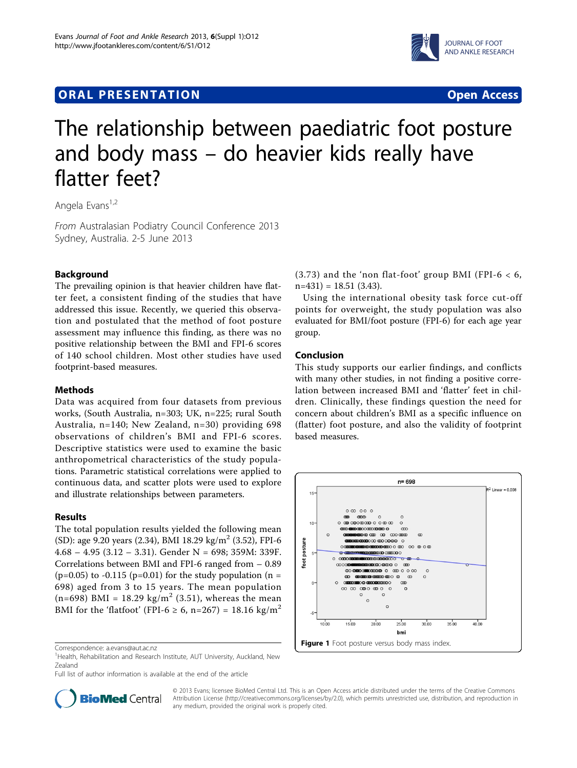# **ORAL PRESENTATION CONSUMING ACCESS**



# The relationship between paediatric foot posture and body mass – do heavier kids really have flatter feet?

Angela Evans<sup>1,2</sup>

From Australasian Podiatry Council Conference 2013 Sydney, Australia. 2-5 June 2013

# Background

The prevailing opinion is that heavier children have flatter feet, a consistent finding of the studies that have addressed this issue. Recently, we queried this observation and postulated that the method of foot posture assessment may influence this finding, as there was no positive relationship between the BMI and FPI-6 scores of 140 school children. Most other studies have used footprint-based measures.

## **Methods**

Data was acquired from four datasets from previous works, (South Australia, n=303; UK, n=225; rural South Australia, n=140; New Zealand, n=30) providing 698 observations of children's BMI and FPI-6 scores. Descriptive statistics were used to examine the basic anthropometrical characteristics of the study populations. Parametric statistical correlations were applied to continuous data, and scatter plots were used to explore and illustrate relationships between parameters.

#### Results

The total population results yielded the following mean (SD): age 9.20 years (2.34), BMI 18.29 kg/m<sup>2</sup> (3.52), FPI-6  $4.68 - 4.95 (3.12 - 3.31)$ . Gender N = 698; 359M: 339F. Correlations between BMI and FPI-6 ranged from – 0.89  $(p=0.05)$  to -0.115 (p=0.01) for the study population (n = 698) aged from 3 to 15 years. The mean population  $(n=698)$  BMI = 18.29 kg/m<sup>2</sup> (3.51), whereas the mean BMI for the 'flatfoot' (FPI-6  $\ge$  6, n=267) = 18.16 kg/m<sup>2</sup>

Full list of author information is available at the end of the article



Using the international obesity task force cut-off points for overweight, the study population was also evaluated for BMI/foot posture (FPI-6) for each age year group.

#### Conclusion

This study supports our earlier findings, and conflicts with many other studies, in not finding a positive correlation between increased BMI and 'flatter' feet in children. Clinically, these findings question the need for concern about children's BMI as a specific influence on (flatter) foot posture, and also the validity of footprint based measures.





© 2013 Evans; licensee BioMed Central Ltd. This is an Open Access article distributed under the terms of the Creative Commons Attribution License [\(http://creativecommons.org/licenses/by/2.0](http://creativecommons.org/licenses/by/2.0)), which permits unrestricted use, distribution, and reproduction in any medium, provided the original work is properly cited.

Correspondence: [a.evans@aut.ac.nz](mailto:a.evans@aut.ac.nz)

<sup>&</sup>lt;sup>1</sup> Health, Rehabilitation and Research Institute, AUT University, Auckland, New Zealand